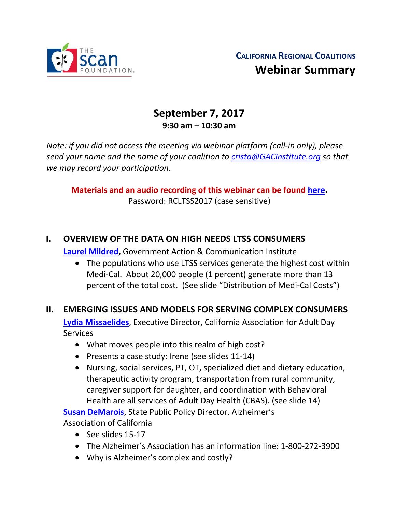

# **September 7, 2017 9:30 am – 10:30 am**

*Note: if you did not access the meeting via webinar platform (call-in only), please send your name and the name of your coalition to [crista@GACInstitute.org](mailto:crista@GACInstitute.org) so that we may record your participation.* 

**Materials and an audio recording of this webinar can be found [here.](http://www.ccltss.org/regional-coalition-meeting-materials/)** Password: RCLTSS2017 (case sensitive)

### **I. OVERVIEW OF THE DATA ON HIGH NEEDS LTSS CONSUMERS**

**[Laurel Mildred,](mailto:laurel.mildred@mildredconsulting.com)** Government Action & Communication Institute

• The populations who use LTSS services generate the highest cost within Medi-Cal. About 20,000 people (1 percent) generate more than 13 percent of the total cost. (See slide "Distribution of Medi-Cal Costs")

#### **II. EMERGING ISSUES AND MODELS FOR SERVING COMPLEX CONSUMERS**

**[Lydia Missaelides](mailto:lydia@caads.org)**, Executive Director, California Association for Adult Day **Services** 

- What moves people into this realm of high cost?
- Presents a case study: Irene (see slides 11-14)
- Nursing, social services, PT, OT, specialized diet and dietary education, therapeutic activity program, transportation from rural community, caregiver support for daughter, and coordination with Behavioral Health are all services of Adult Day Health (CBAS). (see slide 14)

**Susan [DeMarois](mailto:sdemarois@alz.org)**, State Public Policy Director, Alzheimer's Association of California

- See slides 15-17
- The Alzheimer's Association has an information line: 1-800-272-3900
- Why is Alzheimer's complex and costly?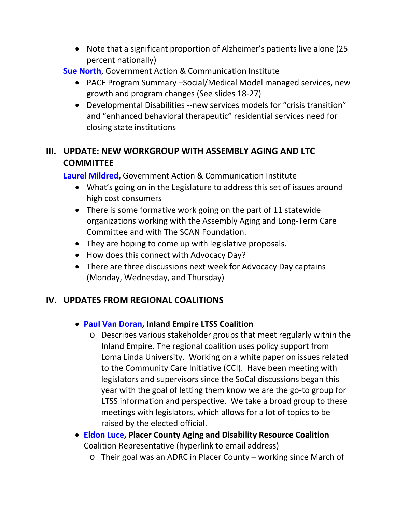- Note that a significant proportion of Alzheimer's patients live alone (25 percent nationally)
- **[Sue North](mailto:snorthca@gmail.com)**, Government Action & Communication Institute
	- PACE Program Summary –Social/Medical Model managed services, new growth and program changes (See slides 18-27)
	- Developmental Disabilities --new services models for "crisis transition" and "enhanced behavioral therapeutic" residential services need for closing state institutions

## **III. UPDATE: NEW WORKGROUP WITH ASSEMBLY AGING AND LTC COMMITTEE**

**[Laurel Mildred,](mailto:laurel.mildred@mildredconsulting.com)** Government Action & Communication Institute

- What's going on in the Legislature to address this set of issues around high cost consumers
- There is some formative work going on the part of 11 statewide organizations working with the Assembly Aging and Long-Term Care Committee and with The SCAN Foundation.
- They are hoping to come up with legislative proposals.
- How does this connect with Advocacy Day?
- There are three discussions next week for Advocacy Day captains (Monday, Wednesday, and Thursday)

# **IV. UPDATES FROM REGIONAL COALITIONS**

### • **[Paul Van Doran,](mailto:Execdir@ilcac.org) Inland Empire LTSS Coalition**

- o Describes various stakeholder groups that meet regularly within the Inland Empire. The regional coalition uses policy support from Loma Linda University. Working on a white paper on issues related to the Community Care Initiative (CCI). Have been meeting with legislators and supervisors since the SoCal discussions began this year with the goal of letting them know we are the go-to group for LTSS information and perspective. We take a broad group to these meetings with legislators, which allows for a lot of topics to be raised by the elected official.
- **[Eldon Luce,](mailto:ELConsult@homail.com) Placer County Aging and Disability Resource Coalition** Coalition Representative (hyperlink to email address)
	- o Their goal was an ADRC in Placer County working since March of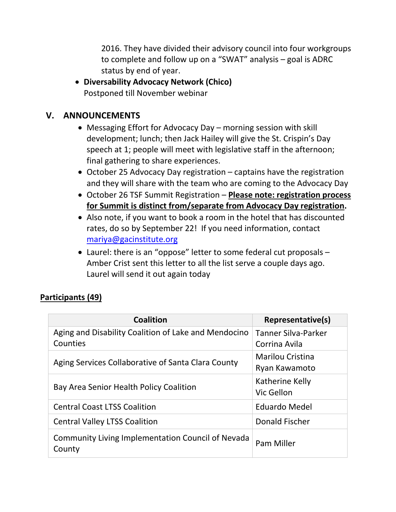2016. They have divided their advisory council into four workgroups to complete and follow up on a "SWAT" analysis – goal is ADRC status by end of year.

• **Diversability Advocacy Network (Chico)** Postponed till November webinar

#### **V. ANNOUNCEMENTS**

- Messaging Effort for Advocacy Day morning session with skill development; lunch; then Jack Hailey will give the St. Crispin's Day speech at 1; people will meet with legislative staff in the afternoon; final gathering to share experiences.
- October 25 Advocacy Day registration captains have the registration and they will share with the team who are coming to the Advocacy Day
- October 26 TSF Summit Registration **Please note: registration process for Summit is distinct from/separate from Advocacy Day registration.**
- Also note, if you want to book a room in the hotel that has discounted rates, do so by September 22! If you need information, contact [mariya@gacinstitute.org](mailto:mariya@gacinstitute.org)
- Laurel: there is an "oppose" letter to some federal cut proposals Amber Crist sent this letter to all the list serve a couple days ago. Laurel will send it out again today

#### **Participants (49)**

| <b>Coalition</b>                                                 | Representative(s)                        |
|------------------------------------------------------------------|------------------------------------------|
| Aging and Disability Coalition of Lake and Mendocino<br>Counties | Tanner Silva-Parker<br>Corrina Avila     |
| Aging Services Collaborative of Santa Clara County               | <b>Marilou Cristina</b><br>Ryan Kawamoto |
| Bay Area Senior Health Policy Coalition                          | Katherine Kelly<br>Vic Gellon            |
| <b>Central Coast LTSS Coalition</b>                              | <b>Eduardo Medel</b>                     |
| <b>Central Valley LTSS Coalition</b>                             | Donald Fischer                           |
| Community Living Implementation Council of Nevada<br>County      | Pam Miller                               |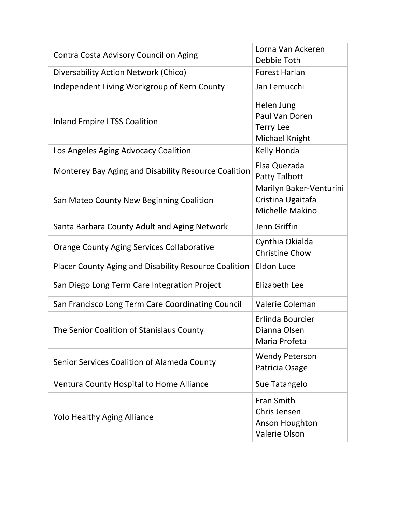| Contra Costa Advisory Council on Aging                | Lorna Van Ackeren<br>Debbie Toth                                            |
|-------------------------------------------------------|-----------------------------------------------------------------------------|
| Diversability Action Network (Chico)                  | <b>Forest Harlan</b>                                                        |
| Independent Living Workgroup of Kern County           | Jan Lemucchi                                                                |
| <b>Inland Empire LTSS Coalition</b>                   | Helen Jung<br>Paul Van Doren<br><b>Terry Lee</b><br>Michael Knight          |
| Los Angeles Aging Advocacy Coalition                  | Kelly Honda                                                                 |
| Monterey Bay Aging and Disability Resource Coalition  | Elsa Quezada<br><b>Patty Talbott</b>                                        |
| San Mateo County New Beginning Coalition              | Marilyn Baker-Venturini<br>Cristina Ugaitafa<br>Michelle Makino             |
| Santa Barbara County Adult and Aging Network          | Jenn Griffin                                                                |
| <b>Orange County Aging Services Collaborative</b>     | Cynthia Okialda<br><b>Christine Chow</b>                                    |
| Placer County Aging and Disability Resource Coalition | <b>Eldon Luce</b>                                                           |
| San Diego Long Term Care Integration Project          | Elizabeth Lee                                                               |
| San Francisco Long Term Care Coordinating Council     | Valerie Coleman                                                             |
| The Senior Coalition of Stanislaus County             | Erlinda Bourcier<br>Dianna Olsen<br>Maria Profeta                           |
| Senior Services Coalition of Alameda County           | <b>Wendy Peterson</b><br>Patricia Osage                                     |
| Ventura County Hospital to Home Alliance              | Sue Tatangelo                                                               |
| <b>Yolo Healthy Aging Alliance</b>                    | <b>Fran Smith</b><br>Chris Jensen<br>Anson Houghton<br><b>Valerie Olson</b> |